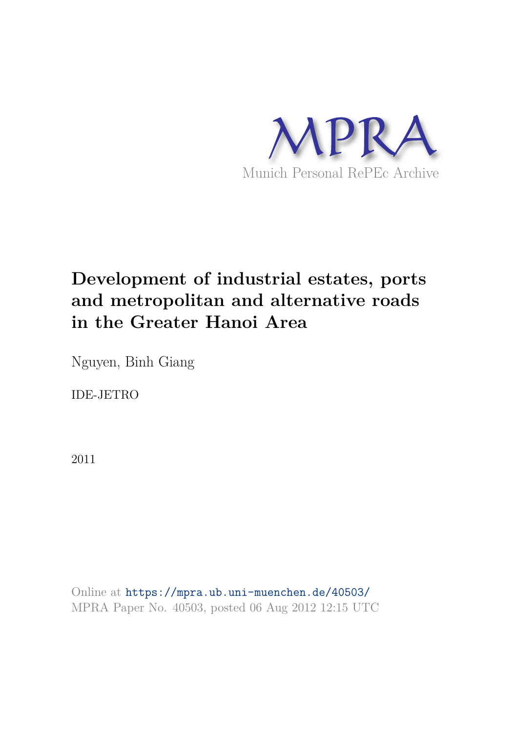

# **Development of industrial estates, ports and metropolitan and alternative roads in the Greater Hanoi Area**

Nguyen, Binh Giang

IDE-JETRO

2011

Online at https://mpra.ub.uni-muenchen.de/40503/ MPRA Paper No. 40503, posted 06 Aug 2012 12:15 UTC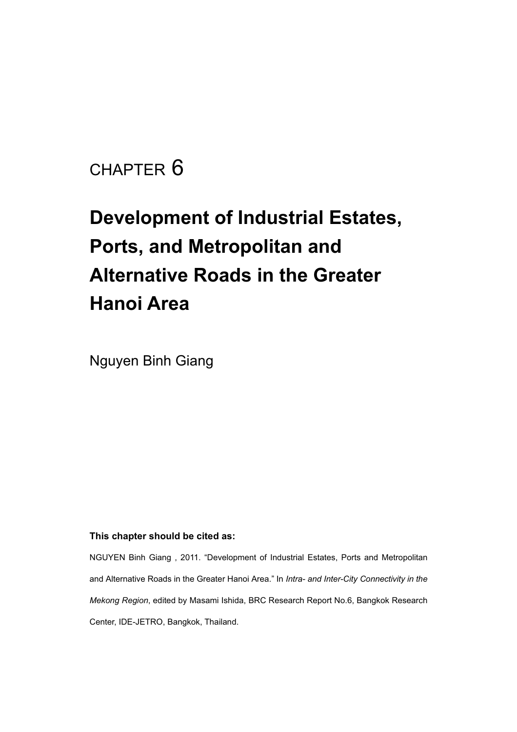# CHAPTER 6

# **Development of Industrial Estates, Ports, and Metropolitan and Alternative Roads in the Greater Hanoi Area**

Nguyen Binh Giang

#### **This chapter should be cited as:**

NGUYEN Binh Giang , 2011. "Development of Industrial Estates, Ports and Metropolitan and Alternative Roads in the Greater Hanoi Area." In *Intra- and Inter-City Connectivity in the Mekong Region*, edited by Masami Ishida, BRC Research Report No.6, Bangkok Research Center, IDE-JETRO, Bangkok, Thailand.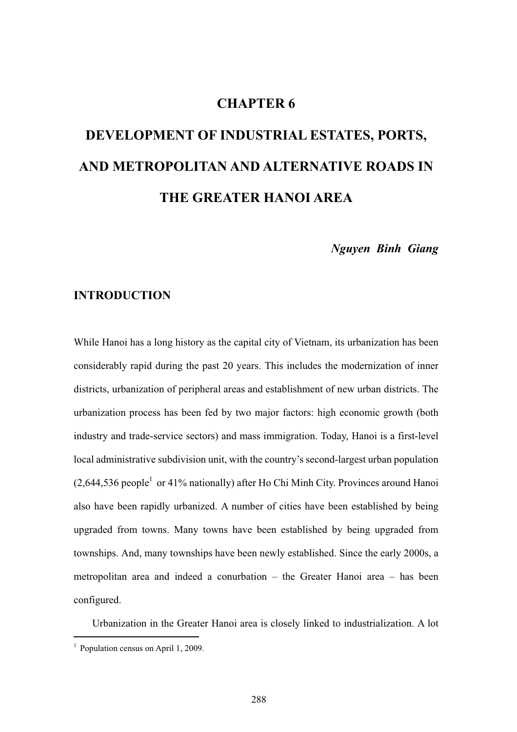# **CHAPTER 6**

# **DEVELOPMENT OF INDUSTRIAL ESTATES, PORTS, AND METROPOLITAN AND ALTERNATIVE ROADS IN THE GREATER HANOI AREA**

*Nguyen Binh Giang* 

## **INTRODUCTION**

While Hanoi has a long history as the capital city of Vietnam, its urbanization has been considerably rapid during the past 20 years. This includes the modernization of inner districts, urbanization of peripheral areas and establishment of new urban districts. The urbanization process has been fed by two major factors: high economic growth (both industry and trade-service sectors) and mass immigration. Today, Hanoi is a first-level local administrative subdivision unit, with the country's second-largest urban population  $(2,644,536$  people<sup>1</sup> or 41% nationally) after Ho Chi Minh City. Provinces around Hanoi also have been rapidly urbanized. A number of cities have been established by being upgraded from towns. Many towns have been established by being upgraded from townships. And, many townships have been newly established. Since the early 2000s, a metropolitan area and indeed a conurbation – the Greater Hanoi area – has been configured.

Urbanization in the Greater Hanoi area is closely linked to industrialization. A lot

<sup>&</sup>lt;sup>1</sup> Population census on April 1, 2009.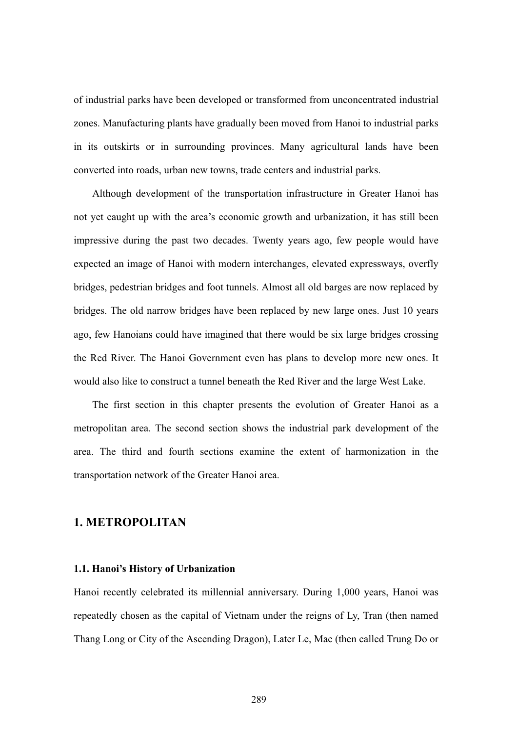of industrial parks have been developed or transformed from unconcentrated industrial zones. Manufacturing plants have gradually been moved from Hanoi to industrial parks in its outskirts or in surrounding provinces. Many agricultural lands have been converted into roads, urban new towns, trade centers and industrial parks.

Although development of the transportation infrastructure in Greater Hanoi has not yet caught up with the area's economic growth and urbanization, it has still been impressive during the past two decades. Twenty years ago, few people would have expected an image of Hanoi with modern interchanges, elevated expressways, overfly bridges, pedestrian bridges and foot tunnels. Almost all old barges are now replaced by bridges. The old narrow bridges have been replaced by new large ones. Just 10 years ago, few Hanoians could have imagined that there would be six large bridges crossing the Red River. The Hanoi Government even has plans to develop more new ones. It would also like to construct a tunnel beneath the Red River and the large West Lake.

The first section in this chapter presents the evolution of Greater Hanoi as a metropolitan area. The second section shows the industrial park development of the area. The third and fourth sections examine the extent of harmonization in the transportation network of the Greater Hanoi area.

### **1. METROPOLITAN**

#### **1.1. Hanoi's History of Urbanization**

Hanoi recently celebrated its millennial anniversary. During 1,000 years, Hanoi was repeatedly chosen as the capital of Vietnam under the reigns of Ly, Tran (then named Thang Long or City of the Ascending Dragon), Later Le, Mac (then called Trung Do or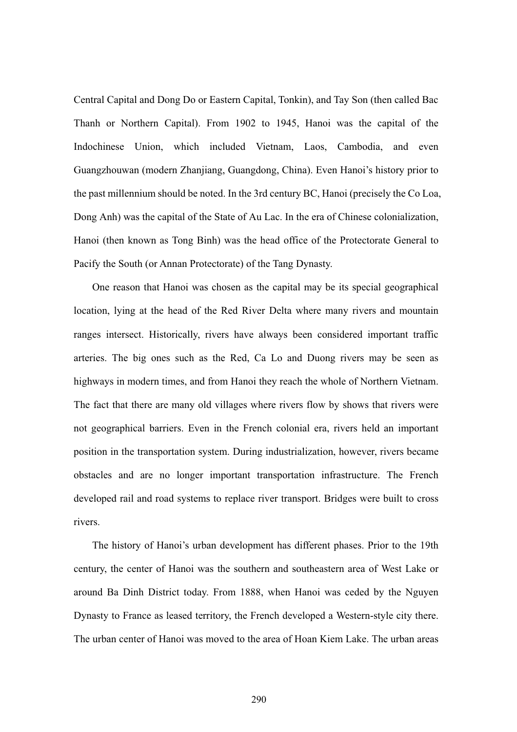Central Capital and Dong Do or Eastern Capital, Tonkin), and Tay Son (then called Bac Thanh or Northern Capital). From 1902 to 1945, Hanoi was the capital of the Indochinese Union, which included Vietnam, Laos, Cambodia, and even Guangzhouwan (modern Zhanjiang, Guangdong, China). Even Hanoi's history prior to the past millennium should be noted. In the 3rd century BC, Hanoi (precisely the Co Loa, Dong Anh) was the capital of the State of Au Lac. In the era of Chinese colonialization, Hanoi (then known as Tong Binh) was the head office of the Protectorate General to Pacify the South (or Annan Protectorate) of the Tang Dynasty.

One reason that Hanoi was chosen as the capital may be its special geographical location, lying at the head of the Red River Delta where many rivers and mountain ranges intersect. Historically, rivers have always been considered important traffic arteries. The big ones such as the Red, Ca Lo and Duong rivers may be seen as highways in modern times, and from Hanoi they reach the whole of Northern Vietnam. The fact that there are many old villages where rivers flow by shows that rivers were not geographical barriers. Even in the French colonial era, rivers held an important position in the transportation system. During industrialization, however, rivers became obstacles and are no longer important transportation infrastructure. The French developed rail and road systems to replace river transport. Bridges were built to cross rivers.

The history of Hanoi's urban development has different phases. Prior to the 19th century, the center of Hanoi was the southern and southeastern area of West Lake or around Ba Dinh District today. From 1888, when Hanoi was ceded by the Nguyen Dynasty to France as leased territory, the French developed a Western-style city there. The urban center of Hanoi was moved to the area of Hoan Kiem Lake. The urban areas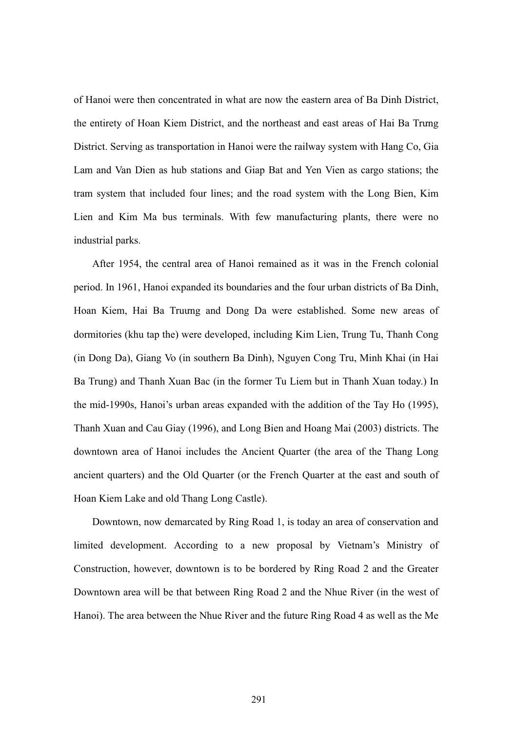of Hanoi were then concentrated in what are now the eastern area of Ba Dinh District, the entirety of Hoan Kiem District, and the northeast and east areas of Hai Ba Trung District. Serving as transportation in Hanoi were the railway system with Hang Co, Gia Lam and Van Dien as hub stations and Giap Bat and Yen Vien as cargo stations; the tram system that included four lines; and the road system with the Long Bien, Kim Lien and Kim Ma bus terminals. With few manufacturing plants, there were no industrial parks.

After 1954, the central area of Hanoi remained as it was in the French colonial period. In 1961, Hanoi expanded its boundaries and the four urban districts of Ba Dinh, Hoan Kiem, Hai Ba Truung and Dong Da were established. Some new areas of dormitories (khu tap the) were developed, including Kim Lien, Trung Tu, Thanh Cong (in Dong Da), Giang Vo (in southern Ba Dinh), Nguyen Cong Tru, Minh Khai (in Hai Ba Trung) and Thanh Xuan Bac (in the former Tu Liem but in Thanh Xuan today.) In the mid-1990s, Hanoi's urban areas expanded with the addition of the Tay Ho (1995), Thanh Xuan and Cau Giay (1996), and Long Bien and Hoang Mai (2003) districts. The downtown area of Hanoi includes the Ancient Quarter (the area of the Thang Long ancient quarters) and the Old Quarter (or the French Quarter at the east and south of Hoan Kiem Lake and old Thang Long Castle).

Downtown, now demarcated by Ring Road 1, is today an area of conservation and limited development. According to a new proposal by Vietnam's Ministry of Construction, however, downtown is to be bordered by Ring Road 2 and the Greater Downtown area will be that between Ring Road 2 and the Nhue River (in the west of Hanoi). The area between the Nhue River and the future Ring Road 4 as well as the Me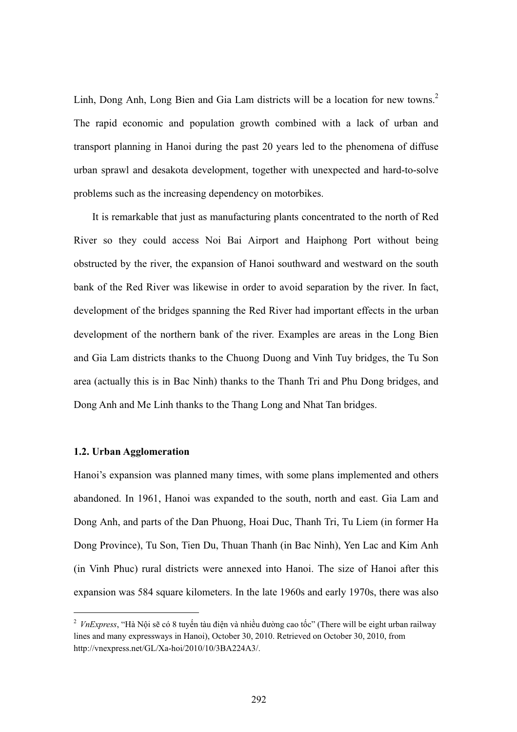Linh, Dong Anh, Long Bien and Gia Lam districts will be a location for new towns.<sup>2</sup> The rapid economic and population growth combined with a lack of urban and transport planning in Hanoi during the past 20 years led to the phenomena of diffuse urban sprawl and desakota development, together with unexpected and hard-to-solve problems such as the increasing dependency on motorbikes.

It is remarkable that just as manufacturing plants concentrated to the north of Red River so they could access Noi Bai Airport and Haiphong Port without being obstructed by the river, the expansion of Hanoi southward and westward on the south bank of the Red River was likewise in order to avoid separation by the river. In fact, development of the bridges spanning the Red River had important effects in the urban development of the northern bank of the river. Examples are areas in the Long Bien and Gia Lam districts thanks to the Chuong Duong and Vinh Tuy bridges, the Tu Son area (actually this is in Bac Ninh) thanks to the Thanh Tri and Phu Dong bridges, and Dong Anh and Me Linh thanks to the Thang Long and Nhat Tan bridges.

#### **1.2. Urban Agglomeration**

 $\overline{a}$ 

Hanoi's expansion was planned many times, with some plans implemented and others abandoned. In 1961, Hanoi was expanded to the south, north and east. Gia Lam and Dong Anh, and parts of the Dan Phuong, Hoai Duc, Thanh Tri, Tu Liem (in former Ha Dong Province), Tu Son, Tien Du, Thuan Thanh (in Bac Ninh), Yen Lac and Kim Anh (in Vinh Phuc) rural districts were annexed into Hanoi. The size of Hanoi after this expansion was 584 square kilometers. In the late 1960s and early 1970s, there was also

<sup>&</sup>lt;sup>2</sup> VnExpress, "Hà Nội sẽ có 8 tuyến tàu điện và nhiều đường cao tốc" (There will be eight urban railway lines and many expressways in Hanoi), October 30, 2010. Retrieved on October 30, 2010, from http://vnexpress.net/GL/Xa-hoi/2010/10/3BA224A3/.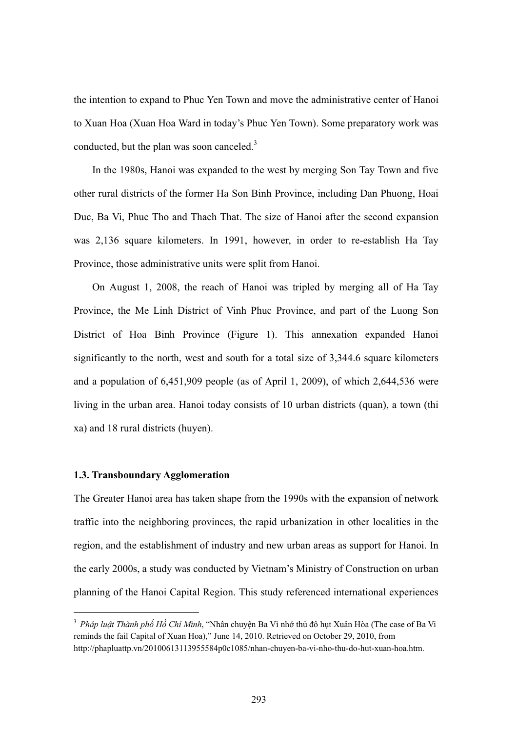the intention to expand to Phuc Yen Town and move the administrative center of Hanoi to Xuan Hoa (Xuan Hoa Ward in today's Phuc Yen Town). Some preparatory work was conducted, but the plan was soon canceled.<sup>3</sup>

In the 1980s, Hanoi was expanded to the west by merging Son Tay Town and five other rural districts of the former Ha Son Binh Province, including Dan Phuong, Hoai Duc, Ba Vi, Phuc Tho and Thach That. The size of Hanoi after the second expansion was 2,136 square kilometers. In 1991, however, in order to re-establish Ha Tay Province, those administrative units were split from Hanoi.

On August 1, 2008, the reach of Hanoi was tripled by merging all of Ha Tay Province, the Me Linh District of Vinh Phuc Province, and part of the Luong Son District of Hoa Binh Province (Figure 1). This annexation expanded Hanoi significantly to the north, west and south for a total size of 3,344.6 square kilometers and a population of 6,451,909 people (as of April 1, 2009), of which 2,644,536 were living in the urban area. Hanoi today consists of 10 urban districts (quan), a town (thi xa) and 18 rural districts (huyen).

#### **1.3. Transboundary Agglomeration**

 $\overline{a}$ 

The Greater Hanoi area has taken shape from the 1990s with the expansion of network traffic into the neighboring provinces, the rapid urbanization in other localities in the region, and the establishment of industry and new urban areas as support for Hanoi. In the early 2000s, a study was conducted by Vietnam's Ministry of Construction on urban planning of the Hanoi Capital Region. This study referenced international experiences

<sup>&</sup>lt;sup>3</sup> Pháp luật Thành phố Hồ Chí Minh, "Nhân chuyện Ba Vì nhớ thủ đô hụt Xuân Hòa (The case of Ba Vi reminds the fail Capital of Xuan Hoa)," June 14, 2010. Retrieved on October 29, 2010, from http://phapluattp.vn/20100613113955584p0c1085/nhan-chuyen-ba-vi-nho-thu-do-hut-xuan-hoa.htm.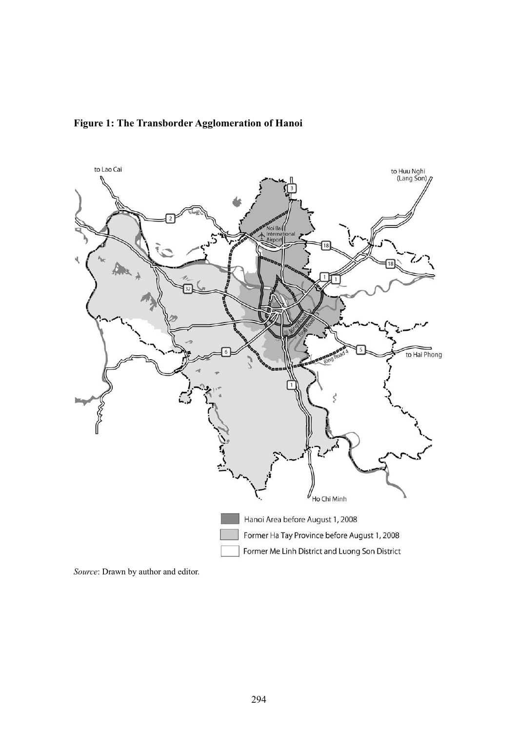



*Source*: Drawn by author and editor.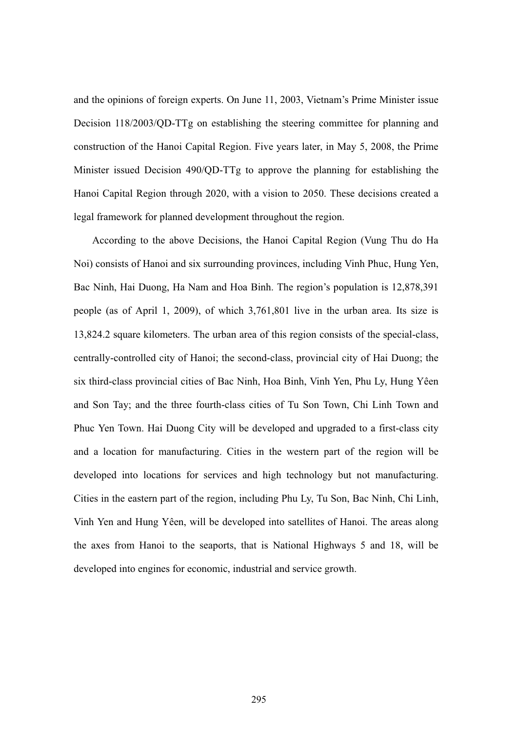and the opinions of foreign experts. On June 11, 2003, Vietnam's Prime Minister issue Decision 118/2003/QD-TTg on establishing the steering committee for planning and construction of the Hanoi Capital Region. Five years later, in May 5, 2008, the Prime Minister issued Decision 490/QD-TTg to approve the planning for establishing the Hanoi Capital Region through 2020, with a vision to 2050. These decisions created a legal framework for planned development throughout the region.

According to the above Decisions, the Hanoi Capital Region (Vung Thu do Ha Noi) consists of Hanoi and six surrounding provinces, including Vinh Phuc, Hung Yen, Bac Ninh, Hai Duong, Ha Nam and Hoa Binh. The region's population is 12,878,391 people (as of April 1, 2009), of which 3,761,801 live in the urban area. Its size is 13,824.2 square kilometers. The urban area of this region consists of the special-class, centrally-controlled city of Hanoi; the second-class, provincial city of Hai Duong; the six third-class provincial cities of Bac Ninh, Hoa Binh, Vinh Yen, Phu Ly, Hung Yêen and Son Tay; and the three fourth-class cities of Tu Son Town, Chi Linh Town and Phuc Yen Town. Hai Duong City will be developed and upgraded to a first-class city and a location for manufacturing. Cities in the western part of the region will be developed into locations for services and high technology but not manufacturing. Cities in the eastern part of the region, including Phu Ly, Tu Son, Bac Ninh, Chi Linh, Vinh Yen and Hung Yêen, will be developed into satellites of Hanoi. The areas along the axes from Hanoi to the seaports, that is National Highways 5 and 18, will be developed into engines for economic, industrial and service growth.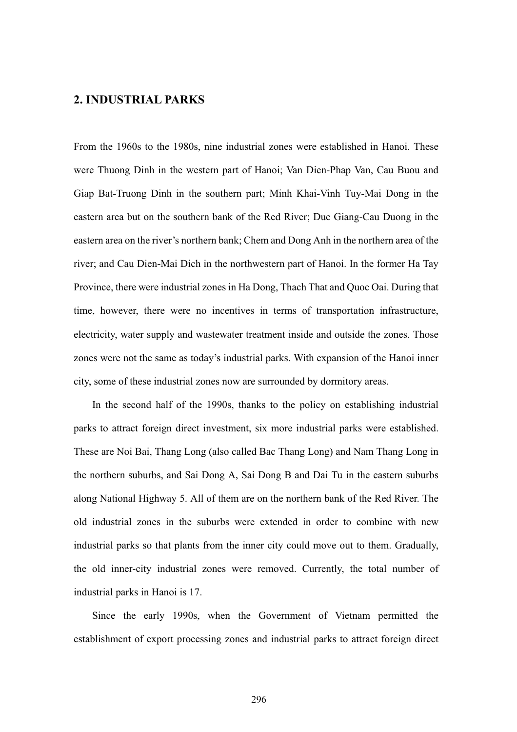## **2. INDUSTRIAL PARKS**

From the 1960s to the 1980s, nine industrial zones were established in Hanoi. These were Thuong Dinh in the western part of Hanoi; Van Dien-Phap Van, Cau Buou and Giap Bat-Truong Dinh in the southern part; Minh Khai-Vinh Tuy-Mai Dong in the eastern area but on the southern bank of the Red River; Duc Giang-Cau Duong in the eastern area on the river's northern bank; Chem and Dong Anh in the northern area of the river; and Cau Dien-Mai Dich in the northwestern part of Hanoi. In the former Ha Tay Province, there were industrial zones in Ha Dong, Thach That and Quoc Oai. During that time, however, there were no incentives in terms of transportation infrastructure, electricity, water supply and wastewater treatment inside and outside the zones. Those zones were not the same as today's industrial parks. With expansion of the Hanoi inner city, some of these industrial zones now are surrounded by dormitory areas.

In the second half of the 1990s, thanks to the policy on establishing industrial parks to attract foreign direct investment, six more industrial parks were established. These are Noi Bai, Thang Long (also called Bac Thang Long) and Nam Thang Long in the northern suburbs, and Sai Dong A, Sai Dong B and Dai Tu in the eastern suburbs along National Highway 5. All of them are on the northern bank of the Red River. The old industrial zones in the suburbs were extended in order to combine with new industrial parks so that plants from the inner city could move out to them. Gradually, the old inner-city industrial zones were removed. Currently, the total number of industrial parks in Hanoi is 17.

Since the early 1990s, when the Government of Vietnam permitted the establishment of export processing zones and industrial parks to attract foreign direct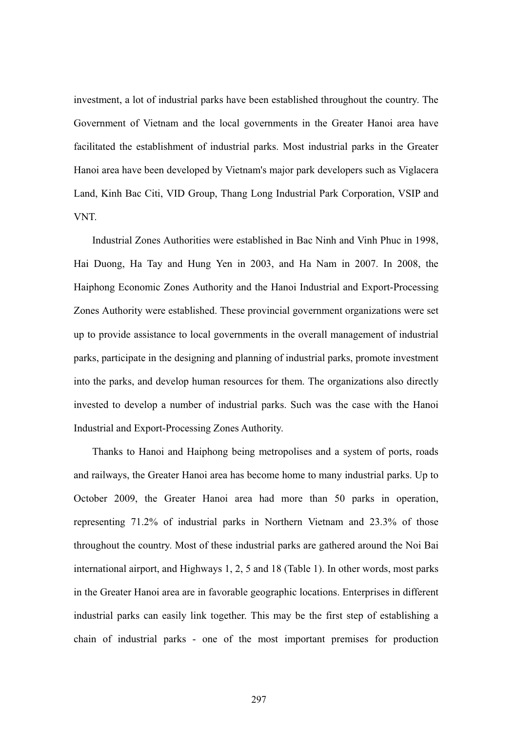investment, a lot of industrial parks have been established throughout the country. The Government of Vietnam and the local governments in the Greater Hanoi area have facilitated the establishment of industrial parks. Most industrial parks in the Greater Hanoi area have been developed by Vietnam's major park developers such as Viglacera Land, Kinh Bac Citi, VID Group, Thang Long Industrial Park Corporation, VSIP and VNT.

Industrial Zones Authorities were established in Bac Ninh and Vinh Phuc in 1998, Hai Duong, Ha Tay and Hung Yen in 2003, and Ha Nam in 2007. In 2008, the Haiphong Economic Zones Authority and the Hanoi Industrial and Export-Processing Zones Authority were established. These provincial government organizations were set up to provide assistance to local governments in the overall management of industrial parks, participate in the designing and planning of industrial parks, promote investment into the parks, and develop human resources for them. The organizations also directly invested to develop a number of industrial parks. Such was the case with the Hanoi Industrial and Export-Processing Zones Authority.

Thanks to Hanoi and Haiphong being metropolises and a system of ports, roads and railways, the Greater Hanoi area has become home to many industrial parks. Up to October 2009, the Greater Hanoi area had more than 50 parks in operation, representing 71.2% of industrial parks in Northern Vietnam and 23.3% of those throughout the country. Most of these industrial parks are gathered around the Noi Bai international airport, and Highways 1, 2, 5 and 18 (Table 1). In other words, most parks in the Greater Hanoi area are in favorable geographic locations. Enterprises in different industrial parks can easily link together. This may be the first step of establishing a chain of industrial parks - one of the most important premises for production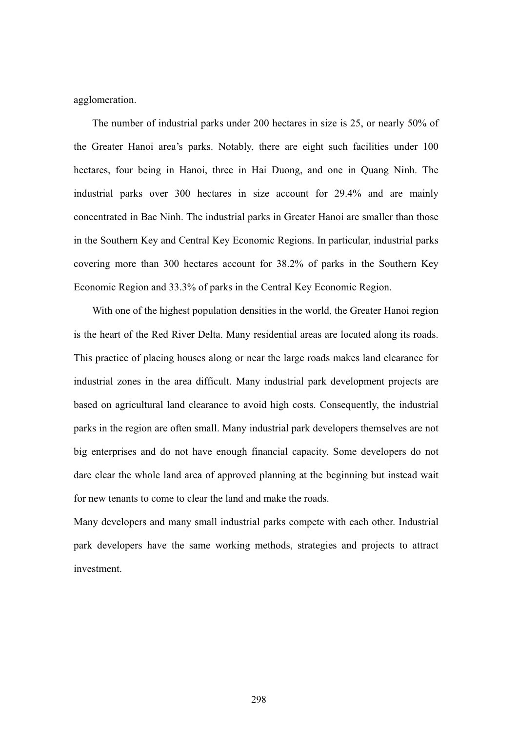agglomeration.

The number of industrial parks under 200 hectares in size is 25, or nearly 50% of the Greater Hanoi area's parks. Notably, there are eight such facilities under 100 hectares, four being in Hanoi, three in Hai Duong, and one in Quang Ninh. The industrial parks over 300 hectares in size account for 29.4% and are mainly concentrated in Bac Ninh. The industrial parks in Greater Hanoi are smaller than those in the Southern Key and Central Key Economic Regions. In particular, industrial parks covering more than 300 hectares account for 38.2% of parks in the Southern Key Economic Region and 33.3% of parks in the Central Key Economic Region.

With one of the highest population densities in the world, the Greater Hanoi region is the heart of the Red River Delta. Many residential areas are located along its roads. This practice of placing houses along or near the large roads makes land clearance for industrial zones in the area difficult. Many industrial park development projects are based on agricultural land clearance to avoid high costs. Consequently, the industrial parks in the region are often small. Many industrial park developers themselves are not big enterprises and do not have enough financial capacity. Some developers do not dare clear the whole land area of approved planning at the beginning but instead wait for new tenants to come to clear the land and make the roads.

Many developers and many small industrial parks compete with each other. Industrial park developers have the same working methods, strategies and projects to attract investment.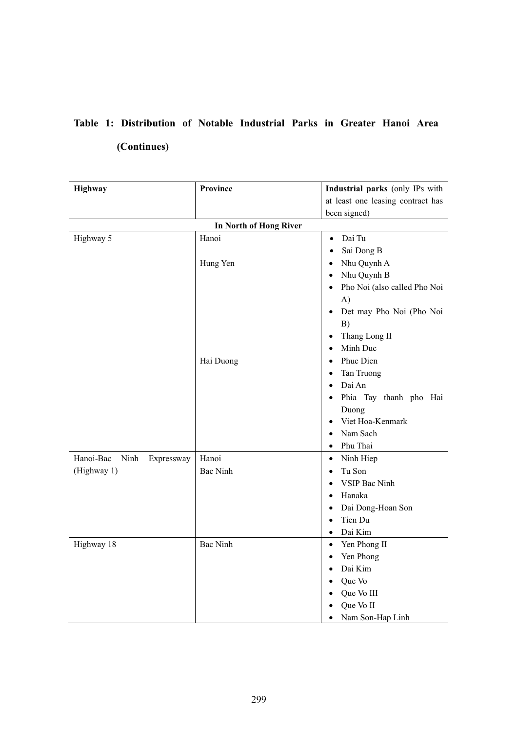# **Table 1: Distribution of Notable Industrial Parks in Greater Hanoi Area (Continues)**

| Highway                               | <b>Province</b>               | Industrial parks (only IPs with                                                                                                                                                                                                                                                                                                                                                                    |  |
|---------------------------------------|-------------------------------|----------------------------------------------------------------------------------------------------------------------------------------------------------------------------------------------------------------------------------------------------------------------------------------------------------------------------------------------------------------------------------------------------|--|
|                                       |                               | at least one leasing contract has                                                                                                                                                                                                                                                                                                                                                                  |  |
|                                       |                               | been signed)                                                                                                                                                                                                                                                                                                                                                                                       |  |
|                                       | <b>In North of Hong River</b> |                                                                                                                                                                                                                                                                                                                                                                                                    |  |
| Highway 5                             | Hanoi                         | Dai Tu<br>$\bullet$<br>Sai Dong B<br>$\bullet$                                                                                                                                                                                                                                                                                                                                                     |  |
|                                       | Hung Yen<br>Hai Duong         | Nhu Quynh A<br>$\bullet$<br>Nhu Quynh B<br>$\bullet$<br>Pho Noi (also called Pho Noi<br>$\bullet$<br>A)<br>Det may Pho Noi (Pho Noi<br>B)<br>Thang Long II<br>$\bullet$<br>Minh Duc<br>$\bullet$<br>Phuc Dien<br>$\bullet$<br>Tan Truong<br>$\bullet$<br>Dai An<br>$\bullet$<br>Phia Tay thanh pho Hai<br>$\bullet$<br>Duong<br>Viet Hoa-Kenmark<br>$\bullet$<br>Nam Sach<br>$\bullet$<br>Phu Thai |  |
| Hanoi-Bac<br>$\rm Ninh$<br>Expressway | Hanoi                         | $\bullet$<br>Ninh Hiep<br>$\bullet$                                                                                                                                                                                                                                                                                                                                                                |  |
| (Highway 1)                           | <b>Bac Ninh</b>               | Tu Son<br>$\bullet$<br>VSIP Bac Ninh<br>Hanaka<br>$\bullet$<br>Dai Dong-Hoan Son<br>$\bullet$<br>Tien Du<br>$\bullet$<br>Dai Kim<br>$\bullet$                                                                                                                                                                                                                                                      |  |
| Highway 18                            | <b>Bac Ninh</b>               | Yen Phong II<br>$\bullet$<br>Yen Phong<br>$\bullet$<br>Dai Kim<br>$\bullet$<br>Que Vo<br>$\bullet$<br>Que Vo III<br>$\bullet$<br>Que Vo II<br>Nam Son-Hap Linh<br>$\bullet$                                                                                                                                                                                                                        |  |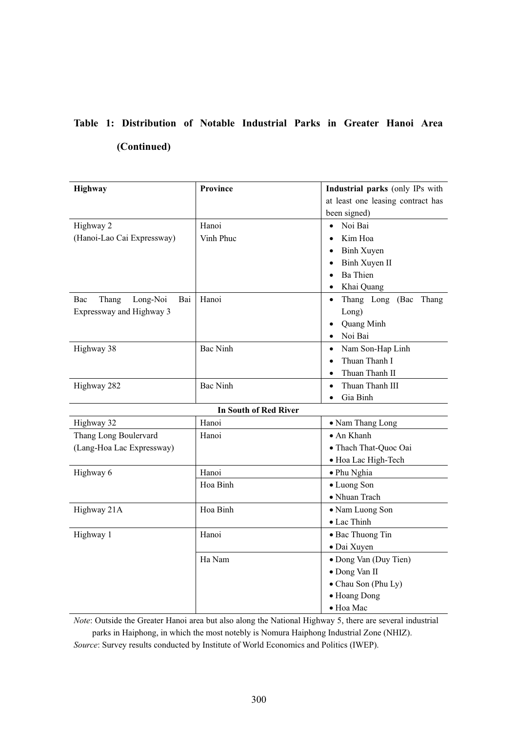# **Table 1: Distribution of Notable Industrial Parks in Greater Hanoi Area (Continued)**

| Highway                         | <b>Province</b>              | Industrial parks (only IPs with       |  |
|---------------------------------|------------------------------|---------------------------------------|--|
|                                 |                              | at least one leasing contract has     |  |
|                                 |                              | been signed)                          |  |
| Highway 2                       | Hanoi                        | Noi Bai<br>$\bullet$                  |  |
| (Hanoi-Lao Cai Expressway)      | Vinh Phuc                    | Kim Hoa<br>$\bullet$                  |  |
|                                 |                              | Binh Xuyen<br>$\bullet$               |  |
|                                 |                              | Binh Xuyen II<br>$\bullet$            |  |
|                                 |                              | <b>Ba</b> Thien<br>$\bullet$          |  |
|                                 |                              | Khai Quang<br>$\bullet$               |  |
| Long-Noi<br>Bac<br>Thang<br>Bai | Hanoi                        | Thang Long (Bac<br>Thang<br>$\bullet$ |  |
| Expressway and Highway 3        |                              | Long)                                 |  |
|                                 |                              | Quang Minh<br>$\bullet$               |  |
|                                 |                              | Noi Bai<br>$\bullet$                  |  |
| Highway 38                      | <b>Bac Ninh</b>              | Nam Son-Hap Linh<br>$\bullet$         |  |
|                                 |                              | Thuan Thanh I<br>$\bullet$            |  |
|                                 |                              | Thuan Thanh II<br>$\bullet$           |  |
| Highway 282                     | <b>Bac Ninh</b>              | Thuan Thanh III<br>$\bullet$          |  |
|                                 |                              | Gia Binh<br>$\bullet$                 |  |
|                                 | <b>In South of Red River</b> |                                       |  |
| Highway 32                      | Hanoi                        | • Nam Thang Long                      |  |
| Thang Long Boulervard           | Hanoi                        | • An Khanh                            |  |
| (Lang-Hoa Lac Expressway)       |                              | · Thach That-Quoc Oai                 |  |
|                                 |                              | · Hoa Lac High-Tech                   |  |
| Highway 6                       | Hanoi                        | · Phu Nghia                           |  |
|                                 | Hoa Binh                     | · Luong Son                           |  |
|                                 |                              | • Nhuan Trach                         |  |
| Highway 21A                     | Hoa Binh                     | • Nam Luong Son                       |  |
|                                 |                              | • Lac Thinh                           |  |
| Highway 1                       | Hanoi                        | • Bac Thuong Tin                      |  |
|                                 |                              | · Dai Xuyen                           |  |
|                                 | Ha Nam                       | • Dong Van (Duy Tien)                 |  |
|                                 |                              | · Dong Van II                         |  |
|                                 |                              | • Chau Son (Phu Ly)                   |  |
|                                 |                              | • Hoang Dong                          |  |
|                                 |                              | · Hoa Mac                             |  |

*Note*: Outside the Greater Hanoi area but also along the National Highway 5, there are several industrial parks in Haiphong, in which the most notebly is Nomura Haiphong Industrial Zone (NHIZ). *Source*: Survey results conducted by Institute of World Economics and Politics (IWEP).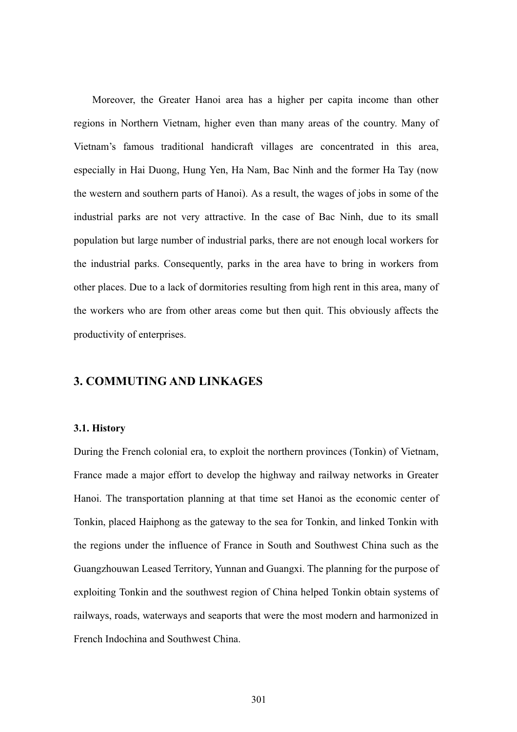Moreover, the Greater Hanoi area has a higher per capita income than other regions in Northern Vietnam, higher even than many areas of the country. Many of Vietnam's famous traditional handicraft villages are concentrated in this area, especially in Hai Duong, Hung Yen, Ha Nam, Bac Ninh and the former Ha Tay (now the western and southern parts of Hanoi). As a result, the wages of jobs in some of the industrial parks are not very attractive. In the case of Bac Ninh, due to its small population but large number of industrial parks, there are not enough local workers for the industrial parks. Consequently, parks in the area have to bring in workers from other places. Due to a lack of dormitories resulting from high rent in this area, many of the workers who are from other areas come but then quit. This obviously affects the productivity of enterprises.

### **3. COMMUTING AND LINKAGES**

#### **3.1. History**

During the French colonial era, to exploit the northern provinces (Tonkin) of Vietnam, France made a major effort to develop the highway and railway networks in Greater Hanoi. The transportation planning at that time set Hanoi as the economic center of Tonkin, placed Haiphong as the gateway to the sea for Tonkin, and linked Tonkin with the regions under the influence of France in South and Southwest China such as the Guangzhouwan Leased Territory, Yunnan and Guangxi. The planning for the purpose of exploiting Tonkin and the southwest region of China helped Tonkin obtain systems of railways, roads, waterways and seaports that were the most modern and harmonized in French Indochina and Southwest China.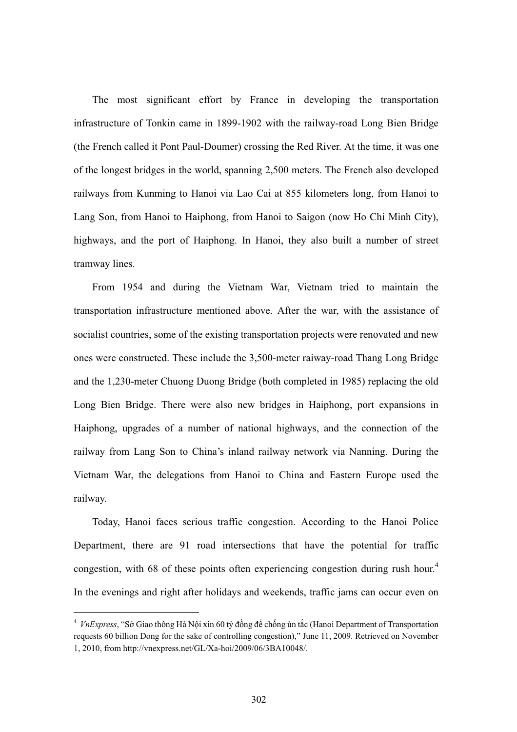The most significant effort by France in developing the transportation infrastructure of Tonkin came in 1899-1902 with the railway-road Long Bien Bridge (the French called it Pont Paul-Doumer) crossing the Red River. At the time, it was one of the longest bridges in the world, spanning 2,500 meters. The French also developed railways from Kunming to Hanoi via Lao Cai at 855 kilometers long, from Hanoi to Lang Son, from Hanoi to Haiphong, from Hanoi to Saigon (now Ho Chi Minh City), highways, and the port of Haiphong. In Hanoi, they also built a number of street tramway lines.

From 1954 and during the Vietnam War, Vietnam tried to maintain the transportation infrastructure mentioned above. After the war, with the assistance of socialist countries, some of the existing transportation projects were renovated and new ones were constructed. These include the 3,500-meter raiway-road Thang Long Bridge and the 1,230-meter Chuong Duong Bridge (both completed in 1985) replacing the old Long Bien Bridge. There were also new bridges in Haiphong, port expansions in Haiphong, upgrades of a number of national highways, and the connection of the railway from Lang Son to China's inland railway network via Nanning. During the Vietnam War, the delegations from Hanoi to China and Eastern Europe used the railway.

Today, Hanoi faces serious traffic congestion. According to the Hanoi Police Department, there are 91 road intersections that have the potential for traffic congestion, with 68 of these points often experiencing congestion during rush hour.<sup>4</sup> In the evenings and right after holidays and weekends, traffic jams can occur even on

<sup>&</sup>lt;sup>4</sup> *VnExpress*, "Sở Giao thông Hà Nội xin 60 tỷ đồng để chống ùn tắc (Hanoi Department of Transportation requests 60 billion Dong for the sake of controlling congestion)," June 11, 2009. Retrieved on November 1, 2010, from http://vnexpress.net/GL/Xa-hoi/2009/06/3BA10048/.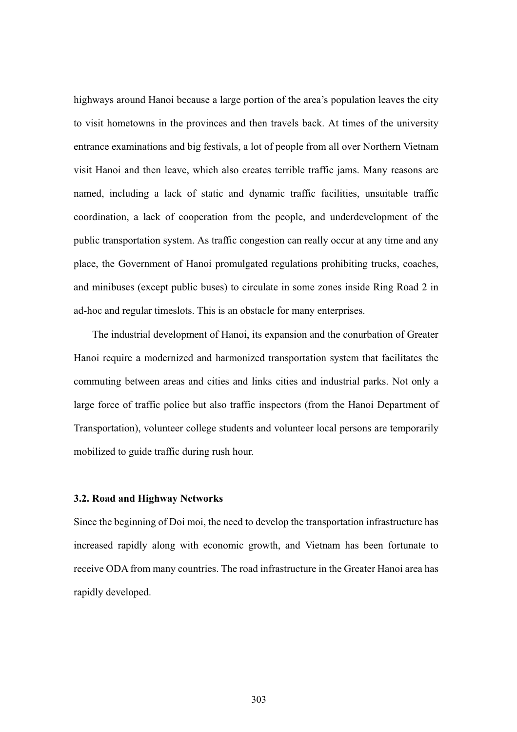highways around Hanoi because a large portion of the area's population leaves the city to visit hometowns in the provinces and then travels back. At times of the university entrance examinations and big festivals, a lot of people from all over Northern Vietnam visit Hanoi and then leave, which also creates terrible traffic jams. Many reasons are named, including a lack of static and dynamic traffic facilities, unsuitable traffic coordination, a lack of cooperation from the people, and underdevelopment of the public transportation system. As traffic congestion can really occur at any time and any place, the Government of Hanoi promulgated regulations prohibiting trucks, coaches, and minibuses (except public buses) to circulate in some zones inside Ring Road 2 in ad-hoc and regular timeslots. This is an obstacle for many enterprises.

The industrial development of Hanoi, its expansion and the conurbation of Greater Hanoi require a modernized and harmonized transportation system that facilitates the commuting between areas and cities and links cities and industrial parks. Not only a large force of traffic police but also traffic inspectors (from the Hanoi Department of Transportation), volunteer college students and volunteer local persons are temporarily mobilized to guide traffic during rush hour.

#### **3.2. Road and Highway Networks**

Since the beginning of Doi moi, the need to develop the transportation infrastructure has increased rapidly along with economic growth, and Vietnam has been fortunate to receive ODA from many countries. The road infrastructure in the Greater Hanoi area has rapidly developed.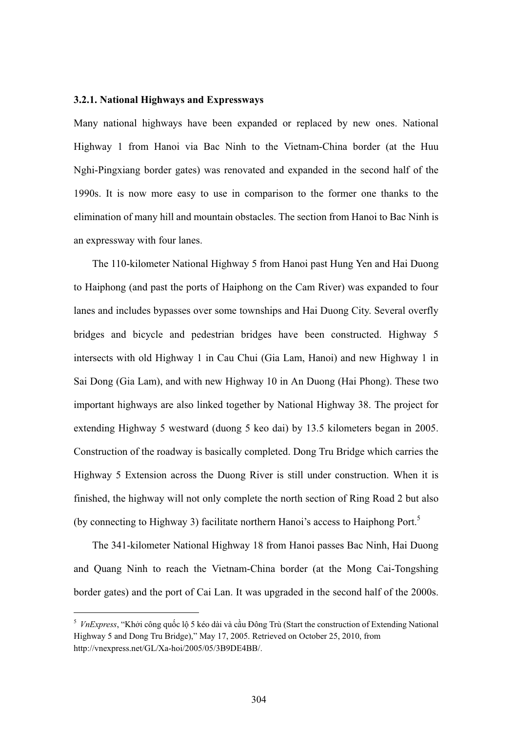#### **3.2.1. National Highways and Expressways**

Many national highways have been expanded or replaced by new ones. National Highway 1 from Hanoi via Bac Ninh to the Vietnam-China border (at the Huu Nghi-Pingxiang border gates) was renovated and expanded in the second half of the 1990s. It is now more easy to use in comparison to the former one thanks to the elimination of many hill and mountain obstacles. The section from Hanoi to Bac Ninh is an expressway with four lanes.

The 110-kilometer National Highway 5 from Hanoi past Hung Yen and Hai Duong to Haiphong (and past the ports of Haiphong on the Cam River) was expanded to four lanes and includes bypasses over some townships and Hai Duong City. Several overfly bridges and bicycle and pedestrian bridges have been constructed. Highway 5 intersects with old Highway 1 in Cau Chui (Gia Lam, Hanoi) and new Highway 1 in Sai Dong (Gia Lam), and with new Highway 10 in An Duong (Hai Phong). These two important highways are also linked together by National Highway 38. The project for extending Highway 5 westward (duong 5 keo dai) by 13.5 kilometers began in 2005. Construction of the roadway is basically completed. Dong Tru Bridge which carries the Highway 5 Extension across the Duong River is still under construction. When it is finished, the highway will not only complete the north section of Ring Road 2 but also (by connecting to Highway 3) facilitate northern Hanoi's access to Haiphong Port.<sup>5</sup>

The 341-kilometer National Highway 18 from Hanoi passes Bac Ninh, Hai Duong and Quang Ninh to reach the Vietnam-China border (at the Mong Cai-Tongshing border gates) and the port of Cai Lan. It was upgraded in the second half of the 2000s.

<sup>&</sup>lt;sup>5</sup> *VnExpress*, "Khởi công quốc lộ 5 kéo dài và cầu Đông Trù (Start the construction of Extending National Highway 5 and Dong Tru Bridge)," May 17, 2005. Retrieved on October 25, 2010, from http://vnexpress.net/GL/Xa-hoi/2005/05/3B9DE4BB/.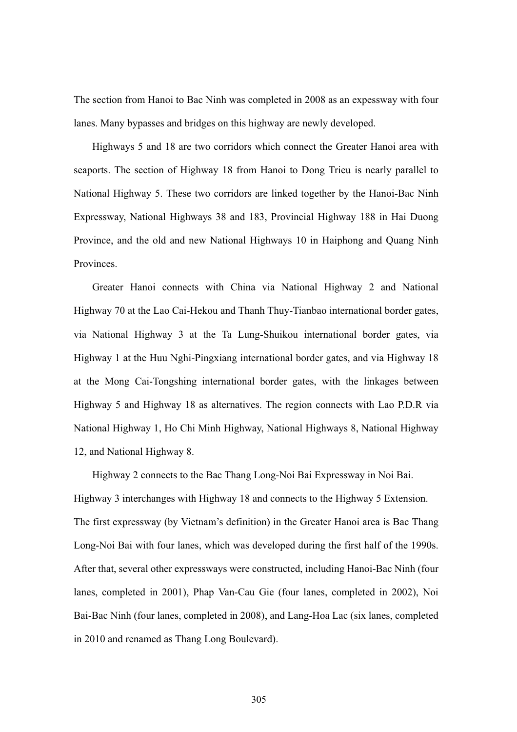The section from Hanoi to Bac Ninh was completed in 2008 as an expessway with four lanes. Many bypasses and bridges on this highway are newly developed.

Highways 5 and 18 are two corridors which connect the Greater Hanoi area with seaports. The section of Highway 18 from Hanoi to Dong Trieu is nearly parallel to National Highway 5. These two corridors are linked together by the Hanoi-Bac Ninh Expressway, National Highways 38 and 183, Provincial Highway 188 in Hai Duong Province, and the old and new National Highways 10 in Haiphong and Quang Ninh **Provinces** 

Greater Hanoi connects with China via National Highway 2 and National Highway 70 at the Lao Cai-Hekou and Thanh Thuy-Tianbao international border gates, via National Highway 3 at the Ta Lung-Shuikou international border gates, via Highway 1 at the Huu Nghi-Pingxiang international border gates, and via Highway 18 at the Mong Cai-Tongshing international border gates, with the linkages between Highway 5 and Highway 18 as alternatives. The region connects with Lao P.D.R via National Highway 1, Ho Chi Minh Highway, National Highways 8, National Highway 12, and National Highway 8.

Highway 2 connects to the Bac Thang Long-Noi Bai Expressway in Noi Bai. Highway 3 interchanges with Highway 18 and connects to the Highway 5 Extension. The first expressway (by Vietnam's definition) in the Greater Hanoi area is Bac Thang Long-Noi Bai with four lanes, which was developed during the first half of the 1990s. After that, several other expressways were constructed, including Hanoi-Bac Ninh (four lanes, completed in 2001), Phap Van-Cau Gie (four lanes, completed in 2002), Noi Bai-Bac Ninh (four lanes, completed in 2008), and Lang-Hoa Lac (six lanes, completed in 2010 and renamed as Thang Long Boulevard).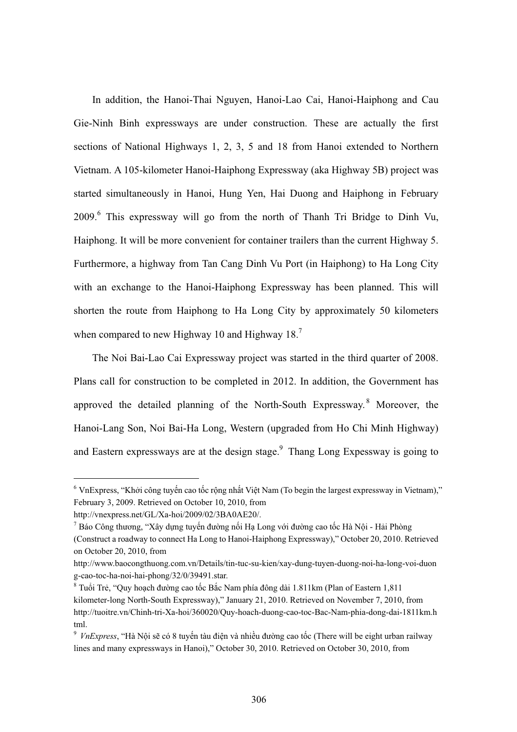In addition, the Hanoi-Thai Nguyen, Hanoi-Lao Cai, Hanoi-Haiphong and Cau Gie-Ninh Binh expressways are under construction. These are actually the first sections of National Highways 1, 2, 3, 5 and 18 from Hanoi extended to Northern Vietnam. A 105-kilometer Hanoi-Haiphong Expressway (aka Highway 5B) project was started simultaneously in Hanoi, Hung Yen, Hai Duong and Haiphong in February 2009.<sup>6</sup> This expressway will go from the north of Thanh Tri Bridge to Dinh Vu, Haiphong. It will be more convenient for container trailers than the current Highway 5. Furthermore, a highway from Tan Cang Dinh Vu Port (in Haiphong) to Ha Long City with an exchange to the Hanoi-Haiphong Expressway has been planned. This will shorten the route from Haiphong to Ha Long City by approximately 50 kilometers when compared to new Highway 10 and Highway  $18<sup>7</sup>$ 

The Noi Bai-Lao Cai Expressway project was started in the third quarter of 2008. Plans call for construction to be completed in 2012. In addition, the Government has approved the detailed planning of the North-South Expressway.<sup>8</sup> Moreover, the Hanoi-Lang Son, Noi Bai-Ha Long, Western (upgraded from Ho Chi Minh Highway) and Eastern expressways are at the design stage. $9$  Thang Long Expessway is going to

 $6$  VnExpress, "Khởi công tuyến cao tốc rộng nhất Việt Nam (To begin the largest expressway in Vietnam)," February 3, 2009. Retrieved on October 10, 2010, from

http://vnexpress.net/GL/Xa-hoi/2009/02/3BA0AE20/.

 $^7$  Báo Công thương, "Xây dựng tuyến đường nối Hạ Long với đường cao tốc Hà Nội - Hải Phòng (Construct a roadway to connect Ha Long to Hanoi-Haiphong Expressway)," October 20, 2010. Retrieved on October 20, 2010, from

http://www.baocongthuong.com.vn/Details/tin-tuc-su-kien/xay-dung-tuyen-duong-noi-ha-long-voi-duon g-cao-toc-ha-noi-hai-phong/32/0/39491.star.

 $^8$  Tuổi Trẻ, "Quy hoạch đường cao tốc Bắc Nam phía đông dài 1.811km (Plan of Eastern 1,811 kilometer-long North-South Expressway)," January 21, 2010. Retrieved on November 7, 2010, from http://tuoitre.vn/Chinh-tri-Xa-hoi/360020/Quy-hoach-duong-cao-toc-Bac-Nam-phia-dong-dai-1811km.h tml.

<sup>&</sup>lt;sup>9</sup> VnExpress, "Hà Nội sẽ có 8 tuyến tàu điện và nhiều đường cao tốc (There will be eight urban railway lines and many expressways in Hanoi)," October 30, 2010. Retrieved on October 30, 2010, from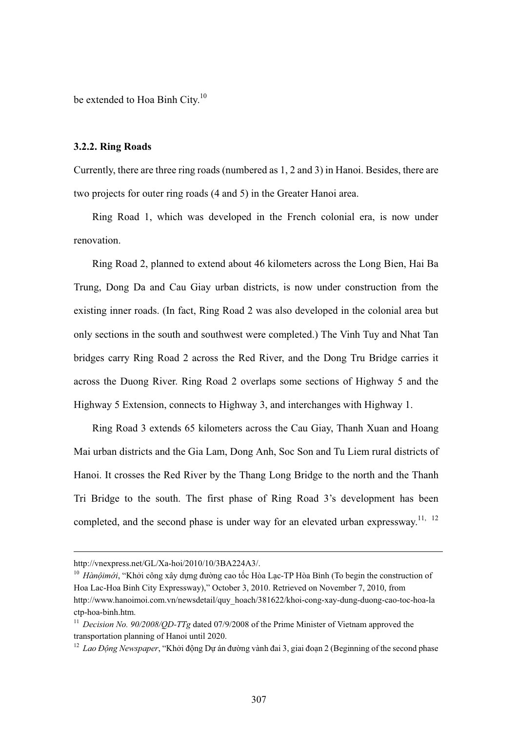be extended to Hoa Binh City.<sup>10</sup>

#### **3.2.2. Ring Roads**

Currently, there are three ring roads (numbered as 1, 2 and 3) in Hanoi. Besides, there are two projects for outer ring roads (4 and 5) in the Greater Hanoi area.

Ring Road 1, which was developed in the French colonial era, is now under renovation.

Ring Road 2, planned to extend about 46 kilometers across the Long Bien, Hai Ba Trung, Dong Da and Cau Giay urban districts, is now under construction from the existing inner roads. (In fact, Ring Road 2 was also developed in the colonial area but only sections in the south and southwest were completed.) The Vinh Tuy and Nhat Tan bridges carry Ring Road 2 across the Red River, and the Dong Tru Bridge carries it across the Duong River. Ring Road 2 overlaps some sections of Highway 5 and the Highway 5 Extension, connects to Highway 3, and interchanges with Highway 1.

Ring Road 3 extends 65 kilometers across the Cau Giay, Thanh Xuan and Hoang Mai urban districts and the Gia Lam, Dong Anh, Soc Son and Tu Liem rural districts of Hanoi. It crosses the Red River by the Thang Long Bridge to the north and the Thanh Tri Bridge to the south. The first phase of Ring Road 3's development has been completed, and the second phase is under way for an elevated urban expressway.<sup>11, 12</sup>

http://vnexpress.net/GL/Xa-hoi/2010/10/3BA224A3/.

<sup>&</sup>lt;sup>10</sup> Hànộimới, "Khởi công xây dựng đường cao tốc Hòa Lạc-TP Hòa Bình (To begin the construction of Hoa Lac-Hoa Binh City Expressway)," October 3, 2010. Retrieved on November 7, 2010, from http://www.hanoimoi.com.vn/newsdetail/quy\_hoach/381622/khoi-cong-xay-dung-duong-cao-toc-hoa-la ctp-hoa-binh.htm.

<sup>&</sup>lt;sup>11</sup> *Decision No. 90/2008/OD-TTg* dated 07/9/2008 of the Prime Minister of Vietnam approved the transportation planning of Hanoi until 2020.

<sup>&</sup>lt;sup>12</sup> Lao Động Newspaper, "Khởi động Dự án đường vành đai 3, giai đoạn 2 (Beginning of the second phase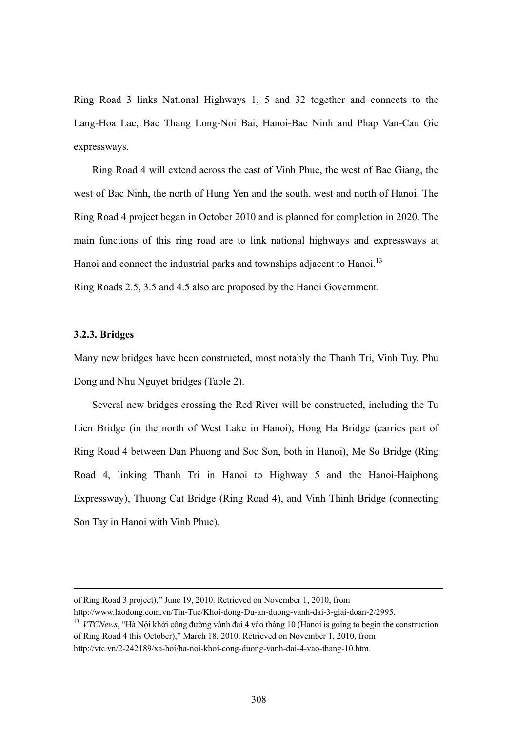Ring Road 3 links National Highways 1, 5 and 32 together and connects to the Lang-Hoa Lac, Bac Thang Long-Noi Bai, Hanoi-Bac Ninh and Phap Van-Cau Gie expressways.

Ring Road 4 will extend across the east of Vinh Phuc, the west of Bac Giang, the west of Bac Ninh, the north of Hung Yen and the south, west and north of Hanoi. The Ring Road 4 project began in October 2010 and is planned for completion in 2020. The main functions of this ring road are to link national highways and expressways at Hanoi and connect the industrial parks and townships adjacent to Hanoi.<sup>13</sup>

Ring Roads 2.5, 3.5 and 4.5 also are proposed by the Hanoi Government.

#### **3.2.3. Bridges**

 $\overline{a}$ 

Many new bridges have been constructed, most notably the Thanh Tri, Vinh Tuy, Phu Dong and Nhu Nguyet bridges (Table 2).

Several new bridges crossing the Red River will be constructed, including the Tu Lien Bridge (in the north of West Lake in Hanoi), Hong Ha Bridge (carries part of Ring Road 4 between Dan Phuong and Soc Son, both in Hanoi), Me So Bridge (Ring Road 4, linking Thanh Tri in Hanoi to Highway 5 and the Hanoi-Haiphong Expressway), Thuong Cat Bridge (Ring Road 4), and Vinh Thinh Bridge (connecting Son Tay in Hanoi with Vinh Phuc).

of Ring Road 3 project)," June 19, 2010. Retrieved on November 1, 2010, from

http://www.laodong.com.vn/Tin-Tuc/Khoi-dong-Du-an-duong-vanh-dai-3-giai-doan-2/2995.

<sup>&</sup>lt;sup>13</sup> VTCNews, "Hà Nội khởi công đường vành đai 4 vào tháng 10 (Hanoi is going to begin the construction of Ring Road 4 this October)," March 18, 2010. Retrieved on November 1, 2010, from

http://vtc.vn/2-242189/xa-hoi/ha-noi-khoi-cong-duong-vanh-dai-4-vao-thang-10.htm.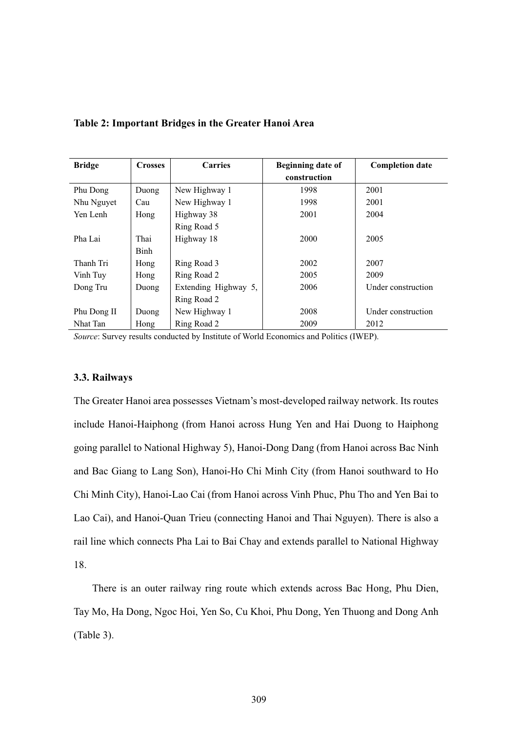| <b>Bridge</b> | <b>Crosses</b> | <b>Carries</b>       | Beginning date of | <b>Completion date</b> |
|---------------|----------------|----------------------|-------------------|------------------------|
|               |                |                      | construction      |                        |
| Phu Dong      | Duong          | New Highway 1        | 1998              | 2001                   |
| Nhu Nguyet    | Cau            | New Highway 1        | 1998              | 2001                   |
| Yen Lenh      | Hong           | Highway 38           | 2001              | 2004                   |
|               |                | Ring Road 5          |                   |                        |
| Pha Lai       | Thai           | Highway 18           | 2000              | 2005                   |
|               | Binh           |                      |                   |                        |
| Thanh Tri     | Hong           | Ring Road 3          | 2002              | 2007                   |
| Vinh Tuy      | Hong           | Ring Road 2          | 2005              | 2009                   |
| Dong Tru      | Duong          | Extending Highway 5, | 2006              | Under construction     |
|               |                | Ring Road 2          |                   |                        |
| Phu Dong II   | Duong          | New Highway 1        | 2008              | Under construction     |
| Nhat Tan      | Hong           | Ring Road 2          | 2009              | 2012                   |

#### **Table 2: Important Bridges in the Greater Hanoi Area**

*Source*: Survey results conducted by Institute of World Economics and Politics (IWEP).

#### **3.3. Railways**

The Greater Hanoi area possesses Vietnam's most-developed railway network. Its routes include Hanoi-Haiphong (from Hanoi across Hung Yen and Hai Duong to Haiphong going parallel to National Highway 5), Hanoi-Dong Dang (from Hanoi across Bac Ninh and Bac Giang to Lang Son), Hanoi-Ho Chi Minh City (from Hanoi southward to Ho Chi Minh City), Hanoi-Lao Cai (from Hanoi across Vinh Phuc, Phu Tho and Yen Bai to Lao Cai), and Hanoi-Quan Trieu (connecting Hanoi and Thai Nguyen). There is also a rail line which connects Pha Lai to Bai Chay and extends parallel to National Highway 18.

There is an outer railway ring route which extends across Bac Hong, Phu Dien, Tay Mo, Ha Dong, Ngoc Hoi, Yen So, Cu Khoi, Phu Dong, Yen Thuong and Dong Anh (Table 3).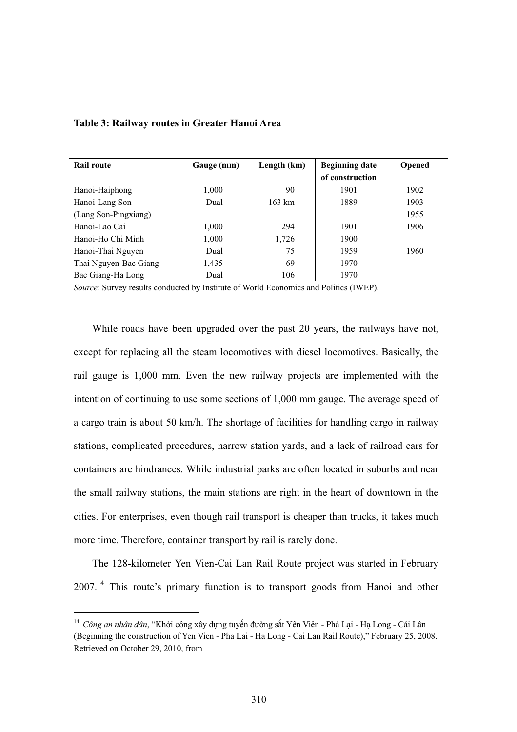| <b>Rail route</b>     | Gauge (mm) | Length (km)      | <b>Beginning date</b> | Opened |
|-----------------------|------------|------------------|-----------------------|--------|
|                       |            |                  | of construction       |        |
| Hanoi-Haiphong        | 1,000      | 90               | 1901                  | 1902   |
| Hanoi-Lang Son        | Dual       | $163 \text{ km}$ | 1889                  | 1903   |
| (Lang Son-Pingxiang)  |            |                  |                       | 1955   |
| Hanoi-Lao Cai         | 1,000      | 294              | 1901                  | 1906   |
| Hanoi-Ho Chi Minh     | 1,000      | 1,726            | 1900                  |        |
| Hanoi-Thai Nguyen     | Dual       | 75               | 1959                  | 1960   |
| Thai Nguyen-Bac Giang | 1,435      | 69               | 1970                  |        |
| Bac Giang-Ha Long     | Dual       | 106              | 1970                  |        |

#### **Table 3: Railway routes in Greater Hanoi Area**

*Source*: Survey results conducted by Institute of World Economics and Politics (IWEP).

While roads have been upgraded over the past 20 years, the railways have not, except for replacing all the steam locomotives with diesel locomotives. Basically, the rail gauge is 1,000 mm. Even the new railway projects are implemented with the intention of continuing to use some sections of 1,000 mm gauge. The average speed of a cargo train is about 50 km/h. The shortage of facilities for handling cargo in railway stations, complicated procedures, narrow station yards, and a lack of railroad cars for containers are hindrances. While industrial parks are often located in suburbs and near the small railway stations, the main stations are right in the heart of downtown in the cities. For enterprises, even though rail transport is cheaper than trucks, it takes much more time. Therefore, container transport by rail is rarely done.

The 128-kilometer Yen Vien-Cai Lan Rail Route project was started in February  $2007$ <sup> $14$ </sup> This route's primary function is to transport goods from Hanoi and other

<sup>&</sup>lt;sup>14</sup> Công an nhân dân, "Khởi công xây dựng tuyến đường sắt Yên Viên - Phả Lại - Hạ Long - Cái Lân (Beginning the construction of Yen Vien - Pha Lai - Ha Long - Cai Lan Rail Route)," February 25, 2008. Retrieved on October 29, 2010, from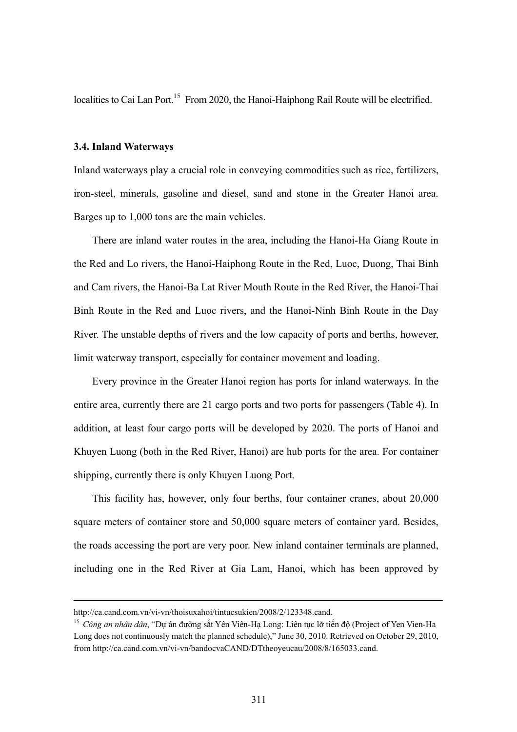localities to Cai Lan Port.<sup>15</sup> From 2020, the Hanoi-Haiphong Rail Route will be electrified.

#### **3.4. Inland Waterways**

Inland waterways play a crucial role in conveying commodities such as rice, fertilizers, iron-steel, minerals, gasoline and diesel, sand and stone in the Greater Hanoi area. Barges up to 1,000 tons are the main vehicles.

There are inland water routes in the area, including the Hanoi-Ha Giang Route in the Red and Lo rivers, the Hanoi-Haiphong Route in the Red, Luoc, Duong, Thai Binh and Cam rivers, the Hanoi-Ba Lat River Mouth Route in the Red River, the Hanoi-Thai Binh Route in the Red and Luoc rivers, and the Hanoi-Ninh Binh Route in the Day River. The unstable depths of rivers and the low capacity of ports and berths, however, limit waterway transport, especially for container movement and loading.

Every province in the Greater Hanoi region has ports for inland waterways. In the entire area, currently there are 21 cargo ports and two ports for passengers (Table 4). In addition, at least four cargo ports will be developed by 2020. The ports of Hanoi and Khuyen Luong (both in the Red River, Hanoi) are hub ports for the area. For container shipping, currently there is only Khuyen Luong Port.

This facility has, however, only four berths, four container cranes, about 20,000 square meters of container store and 50,000 square meters of container yard. Besides, the roads accessing the port are very poor. New inland container terminals are planned, including one in the Red River at Gia Lam, Hanoi, which has been approved by

http://ca.cand.com.vn/vi-vn/thoisuxahoi/tintucsukien/2008/2/123348.cand.

<sup>&</sup>lt;sup>15</sup> Công an nhân dân, "Dự án đường sắt Yên Viên-Hạ Long: Liên tục lỡ tiến độ (Project of Yen Vien-Ha Long does not continuously match the planned schedule)," June 30, 2010. Retrieved on October 29, 2010, from http://ca.cand.com.vn/vi-vn/bandocvaCAND/DTtheoyeucau/2008/8/165033.cand.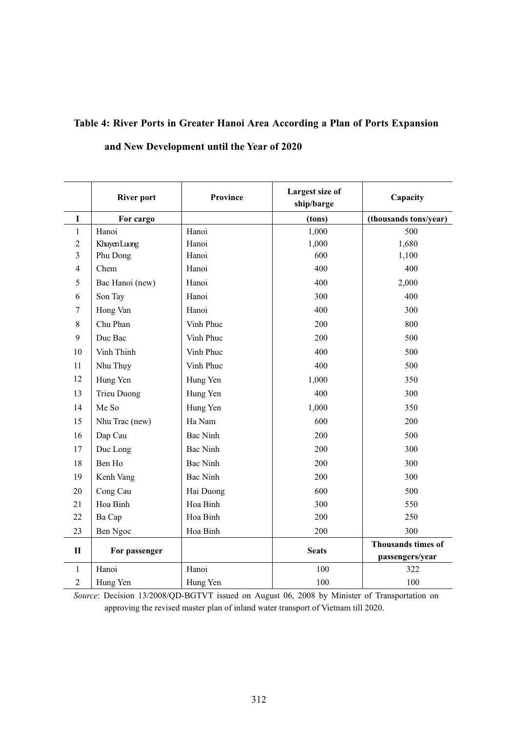# **Table 4: River Ports in Greater Hanoi Area According a Plan of Ports Expansion**

# **and New Development until the Year of 2020**

|                | <b>River port</b>  | <b>Province</b> | Largest size of<br>ship/barge | Capacity                  |
|----------------|--------------------|-----------------|-------------------------------|---------------------------|
| $\mathbf I$    | For cargo          |                 | (tons)                        | (thousands tons/year)     |
| $\mathbf{1}$   | Hanoi              | Hanoi           | 1,000                         | 500                       |
| $\overline{2}$ | Khuyen Luong       | Hanoi           | 1,000                         | 1,680                     |
| 3              | Phu Dong           | Hanoi           | 600                           | 1,100                     |
| 4              | Chem               | Hanoi           | 400                           | 400                       |
| 5              | Bac Hanoi (new)    | Hanoi           | 400                           | 2,000                     |
| 6              | Son Tay            | Hanoi           | 300                           | 400                       |
| 7              | Hong Van           | Hanoi           | 400                           | 300                       |
| 8              | Chu Phan           | Vinh Phuc       | 200                           | 800                       |
| 9              | Duc Bac            | Vinh Phuc       | 200                           | 500                       |
| 10             | Vinh Thinh         | Vinh Phuc       | 400                           | 500                       |
| 11             | Nhu Thụy           | Vinh Phuc       | 400                           | 500                       |
| 12             | Hung Yen           | Hung Yen        | 1,000                         | 350                       |
| 13             | <b>Trieu Duong</b> | Hung Yen        | 400                           | 300                       |
| 14             | Me So              | Hung Yen        | 1,000                         | 350                       |
| 15             | Nhu Trac (new)     | Ha Nam          | 600                           | 200                       |
| 16             | Dap Cau            | <b>Bac Ninh</b> | 200                           | 500                       |
| 17             | Duc Long           | <b>Bac Ninh</b> | 200                           | 300                       |
| 18             | Ben Ho             | <b>Bac Ninh</b> | 200                           | 300                       |
| 19             | Kenh Vang          | <b>Bac Ninh</b> | 200                           | 300                       |
| 20             | Cong Cau           | Hai Duong       | 600                           | 500                       |
| 21             | Hoa Binh           | Hoa Binh        | 300                           | 550                       |
| 22             | Ba Cap             | Hoa Binh        | 200                           | 250                       |
| 23             | Ben Ngoc           | Hoa Binh        | 200                           | 300                       |
| $\mathbf{I}$   |                    |                 | <b>Seats</b>                  | <b>Thousands times of</b> |
|                | For passenger      |                 |                               | passengers/year           |
| $\mathbf{1}$   | Hanoi              | Hanoi           | 100                           | 322                       |
| $\overline{2}$ | Hung Yen           | Hung Yen        | 100                           | 100                       |

*Source*: Decision 13/2008/QD-BGTVT issued on August 06, 2008 by Minister of Transportation on approving the revised master plan of inland water transport of Vietnam till 2020.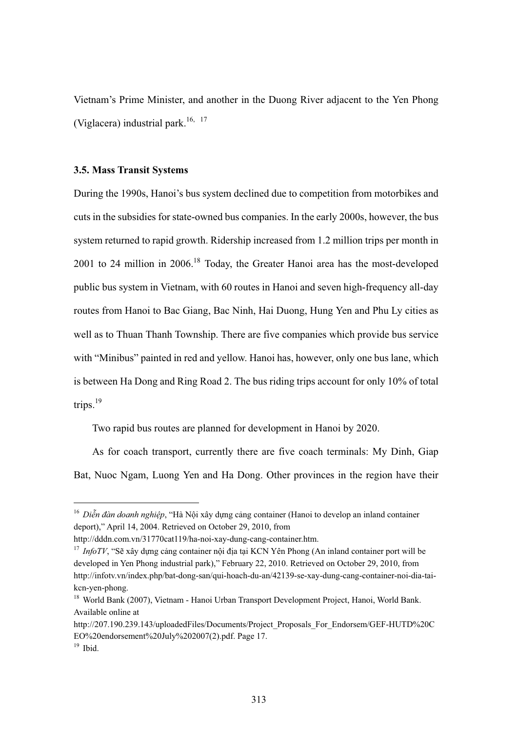Vietnam's Prime Minister, and another in the Duong River adjacent to the Yen Phong (Viglacera) industrial park.<sup>16, 17</sup>

#### **3.5. Mass Transit Systems**

During the 1990s, Hanoi's bus system declined due to competition from motorbikes and cuts in the subsidies for state-owned bus companies. In the early 2000s, however, the bus system returned to rapid growth. Ridership increased from 1.2 million trips per month in 2001 to 24 million in 2006.<sup>18</sup> Today, the Greater Hanoi area has the most-developed public bus system in Vietnam, with 60 routes in Hanoi and seven high-frequency all-day routes from Hanoi to Bac Giang, Bac Ninh, Hai Duong, Hung Yen and Phu Ly cities as well as to Thuan Thanh Township. There are five companies which provide bus service with "Minibus" painted in red and yellow. Hanoi has, however, only one bus lane, which is between Ha Dong and Ring Road 2. The bus riding trips account for only 10% of total trips. $19$ 

Two rapid bus routes are planned for development in Hanoi by 2020.

As for coach transport, currently there are five coach terminals: My Dinh, Giap Bat, Nuoc Ngam, Luong Yen and Ha Dong. Other provinces in the region have their

<sup>&</sup>lt;sup>16</sup> Diễn đàn doanh nghiệp, "Hà Nội xây dựng cảng container (Hanoi to develop an inland container deport)," April 14, 2004. Retrieved on October 29, 2010, from

http://dddn.com.vn/31770cat119/ha-noi-xay-dung-cang-container.htm.

 $17$  *InfoTV*, "Sẽ xây dựng cảng container nội địa tại KCN Yên Phong (An inland container port will be developed in Yen Phong industrial park)," February 22, 2010. Retrieved on October 29, 2010, from http://infotv.vn/index.php/bat-dong-san/qui-hoach-du-an/42139-se-xay-dung-cang-container-noi-dia-taikcn-yen-phong.

<sup>&</sup>lt;sup>18</sup> World Bank (2007), Vietnam - Hanoi Urban Transport Development Project, Hanoi, World Bank. Available online at

http://207.190.239.143/uploadedFiles/Documents/Project\_Proposals\_For\_Endorsem/GEF-HUTD%20C EO%20endorsement%20July%202007(2).pdf. Page 17.

 $19$  Ibid.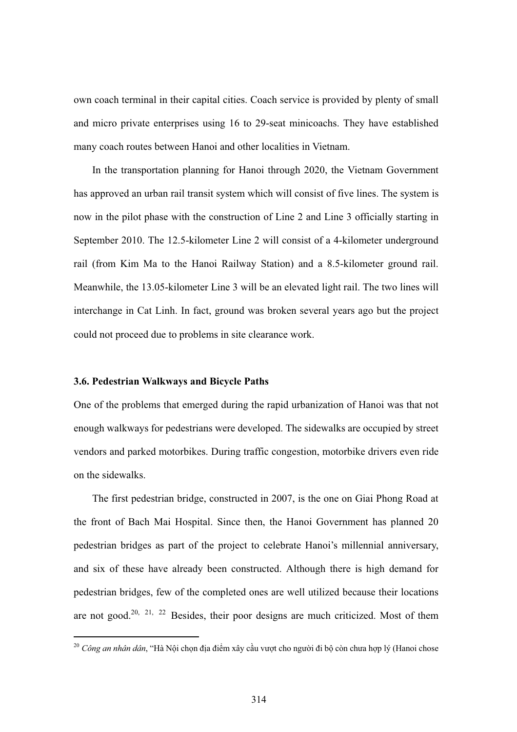own coach terminal in their capital cities. Coach service is provided by plenty of small and micro private enterprises using 16 to 29-seat minicoachs. They have established many coach routes between Hanoi and other localities in Vietnam.

In the transportation planning for Hanoi through 2020, the Vietnam Government has approved an urban rail transit system which will consist of five lines. The system is now in the pilot phase with the construction of Line 2 and Line 3 officially starting in September 2010. The 12.5-kilometer Line 2 will consist of a 4-kilometer underground rail (from Kim Ma to the Hanoi Railway Station) and a 8.5-kilometer ground rail. Meanwhile, the 13.05-kilometer Line 3 will be an elevated light rail. The two lines will interchange in Cat Linh. In fact, ground was broken several years ago but the project could not proceed due to problems in site clearance work.

#### **3.6. Pedestrian Walkways and Bicycle Paths**

 $\overline{a}$ 

One of the problems that emerged during the rapid urbanization of Hanoi was that not enough walkways for pedestrians were developed. The sidewalks are occupied by street vendors and parked motorbikes. During traffic congestion, motorbike drivers even ride on the sidewalks.

The first pedestrian bridge, constructed in 2007, is the one on Giai Phong Road at the front of Bach Mai Hospital. Since then, the Hanoi Government has planned 20 pedestrian bridges as part of the project to celebrate Hanoi's millennial anniversary, and six of these have already been constructed. Although there is high demand for pedestrian bridges, few of the completed ones are well utilized because their locations are not good.<sup>20, 21, 22</sup> Besides, their poor designs are much criticized. Most of them

<sup>&</sup>lt;sup>20</sup> Công *an nhân dân*, "Hà Nội chọn địa điểm xây cầu vượt cho người đi bộ còn chưa hợp lý (Hanoi chose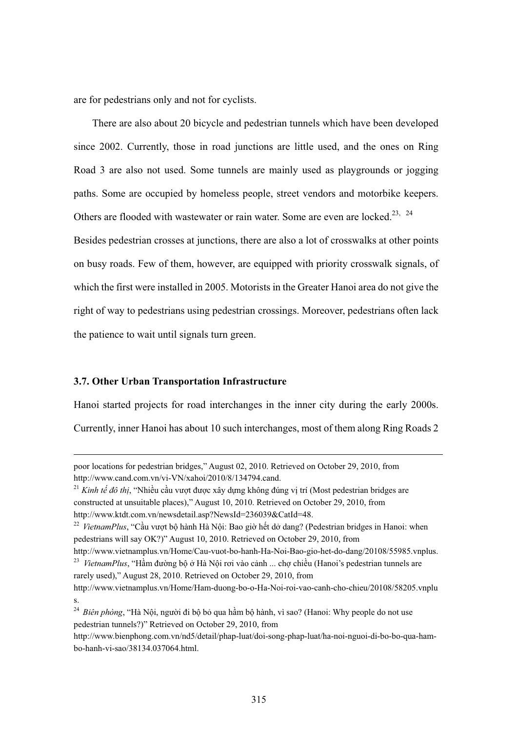are for pedestrians only and not for cyclists.

There are also about 20 bicycle and pedestrian tunnels which have been developed since 2002. Currently, those in road junctions are little used, and the ones on Ring Road 3 are also not used. Some tunnels are mainly used as playgrounds or jogging paths. Some are occupied by homeless people, street vendors and motorbike keepers. Others are flooded with wastewater or rain water. Some are even are locked.<sup>23, 24</sup> Besides pedestrian crosses at junctions, there are also a lot of crosswalks at other points on busy roads. Few of them, however, are equipped with priority crosswalk signals, of which the first were installed in 2005. Motorists in the Greater Hanoi area do not give the right of way to pedestrians using pedestrian crossings. Moreover, pedestrians often lack the patience to wait until signals turn green.

#### **3.7. Other Urban Transportation Infrastructure**

 $\overline{a}$ 

Hanoi started projects for road interchanges in the inner city during the early 2000s.

Currently, inner Hanoi has about 10 such interchanges, most of them along Ring Roads 2

poor locations for pedestrian bridges," August 02, 2010. Retrieved on October 29, 2010, from http://www.cand.com.vn/vi-VN/xahoi/2010/8/134794.cand.

<sup>&</sup>lt;sup>21</sup> Kinh tế đô thị, "Nhiều cầu vượt được xây dựng không đúng vị trí (Most pedestrian bridges are constructed at unsuitable places)," August 10, 2010. Retrieved on October 29, 2010, from http://www.ktdt.com.vn/newsdetail.asp?NewsId=236039&CatId=48.

<sup>&</sup>lt;sup>22</sup> VietnamPlus, "Cầu vượt bộ hành Hà Nội: Bao giờ hết dở dang? (Pedestrian bridges in Hanoi: when pedestrians will say OK?)" August 10, 2010. Retrieved on October 29, 2010, from

http://www.vietnamplus.vn/Home/Cau-vuot-bo-hanh-Ha-Noi-Bao-gio-het-do-dang/20108/55985.vnplus. <sup>23</sup> VietnamPlus, "Hầm đường bộ ở Hà Nội rơi vào cảnh ... chợ chiều (Hanoi's pedestrian tunnels are rarely used)," August 28, 2010. Retrieved on October 29, 2010, from

http://www.vietnamplus.vn/Home/Ham-duong-bo-o-Ha-Noi-roi-vao-canh-cho-chieu/20108/58205.vnplu s.

<sup>&</sup>lt;sup>24</sup> Biên phòng, "Hà Nội, người đi bộ bỏ qua hầm bộ hành, vì sao? (Hanoi: Why people do not use pedestrian tunnels?)" Retrieved on October 29, 2010, from

http://www.bienphong.com.vn/nd5/detail/phap-luat/doi-song-phap-luat/ha-noi-nguoi-di-bo-bo-qua-hambo-hanh-vi-sao/38134.037064.html.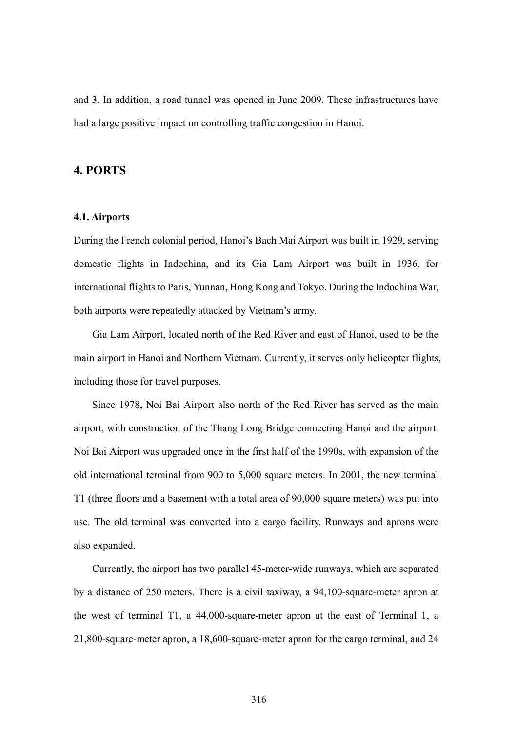and 3. In addition, a road tunnel was opened in June 2009. These infrastructures have had a large positive impact on controlling traffic congestion in Hanoi.

## **4. PORTS**

#### **4.1. Airports**

During the French colonial period, Hanoi's Bach Mai Airport was built in 1929, serving domestic flights in Indochina, and its Gia Lam Airport was built in 1936, for international flights to Paris, Yunnan, Hong Kong and Tokyo. During the Indochina War, both airports were repeatedly attacked by Vietnam's army.

Gia Lam Airport, located north of the Red River and east of Hanoi, used to be the main airport in Hanoi and Northern Vietnam. Currently, it serves only helicopter flights, including those for travel purposes.

Since 1978, Noi Bai Airport also north of the Red River has served as the main airport, with construction of the Thang Long Bridge connecting Hanoi and the airport. Noi Bai Airport was upgraded once in the first half of the 1990s, with expansion of the old international terminal from 900 to 5,000 square meters. In 2001, the new terminal T1 (three floors and a basement with a total area of 90,000 square meters) was put into use. The old terminal was converted into a cargo facility. Runways and aprons were also expanded.

Currently, the airport has two parallel 45-meter-wide runways, which are separated by a distance of 250 meters. There is a civil taxiway, a 94,100-square-meter apron at the west of terminal T1, a 44,000-square-meter apron at the east of Terminal 1, a 21,800-square-meter apron, a 18,600-square-meter apron for the cargo terminal, and 24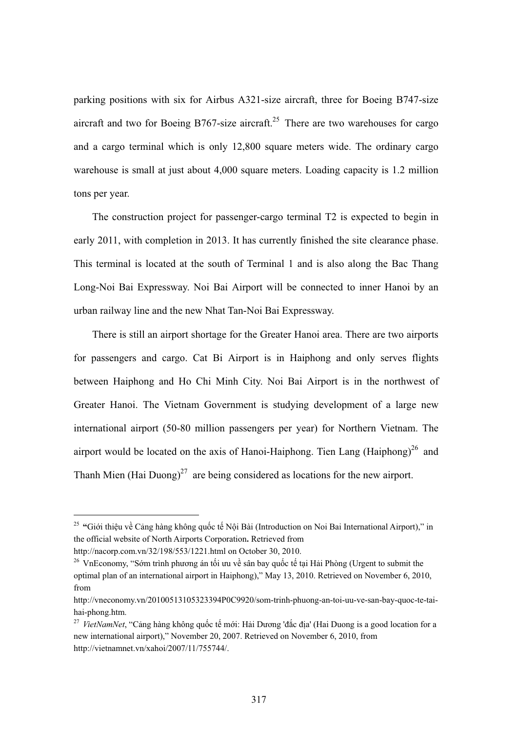parking positions with six for Airbus A321-size aircraft, three for Boeing B747-size aircraft and two for Boeing B767-size aircraft.<sup>25</sup> There are two warehouses for cargo and a cargo terminal which is only 12,800 square meters wide. The ordinary cargo warehouse is small at just about 4,000 square meters. Loading capacity is 1.2 million tons per year.

The construction project for passenger-cargo terminal T2 is expected to begin in early 2011, with completion in 2013. It has currently finished the site clearance phase. This terminal is located at the south of Terminal 1 and is also along the Bac Thang Long-Noi Bai Expressway. Noi Bai Airport will be connected to inner Hanoi by an urban railway line and the new Nhat Tan-Noi Bai Expressway.

There is still an airport shortage for the Greater Hanoi area. There are two airports for passengers and cargo. Cat Bi Airport is in Haiphong and only serves flights between Haiphong and Ho Chi Minh City. Noi Bai Airport is in the northwest of Greater Hanoi. The Vietnam Government is studying development of a large new international airport (50-80 million passengers per year) for Northern Vietnam. The airport would be located on the axis of Hanoi-Haiphong. Tien Lang (Haiphong)<sup>26</sup> and Thanh Mien (Hai Duong)<sup>27</sup> are being considered as locations for the new airport.

 $\overline{a}$ 

<sup>26</sup> VnEconomy, "Sớm trình phương án tối ưu về sân bay quốc tế tại Hải Phòng (Urgent to submit the optimal plan of an international airport in Haiphong)," May 13, 2010. Retrieved on November 6, 2010, from

<sup>&</sup>lt;sup>25</sup> "Giới thiệu về Cảng hàng không quốc tế Nội Bài (Introduction on Noi Bai International Airport)," in the official website of North Airports Corporation**.** Retrieved from

http://nacorp.com.vn/32/198/553/1221.html on October 30, 2010.

http://vneconomy.vn/20100513105323394P0C9920/som-trinh-phuong-an-toi-uu-ve-san-bay-quoc-te-taihai-phong.htm.

<sup>&</sup>lt;sup>27</sup> VietNamNet, "Cảng hàng không quốc tế mới: Hải Dương 'đắc địa' (Hai Duong is a good location for a new international airport)," November 20, 2007. Retrieved on November 6, 2010, from http://vietnamnet.vn/xahoi/2007/11/755744/.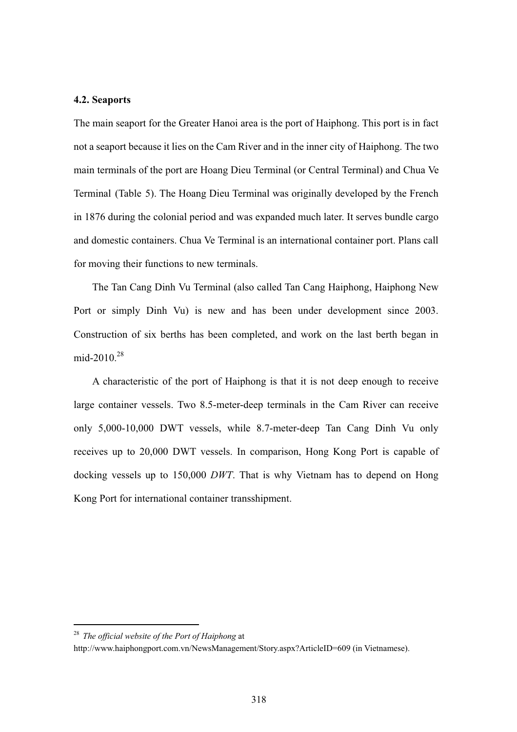#### **4.2. Seaports**

The main seaport for the Greater Hanoi area is the port of Haiphong. This port is in fact not a seaport because it lies on the Cam River and in the inner city of Haiphong. The two main terminals of the port are Hoang Dieu Terminal (or Central Terminal) and Chua Ve Terminal (Table 5). The Hoang Dieu Terminal was originally developed by the French in 1876 during the colonial period and was expanded much later. It serves bundle cargo and domestic containers. Chua Ve Terminal is an international container port. Plans call for moving their functions to new terminals.

The Tan Cang Dinh Vu Terminal (also called Tan Cang Haiphong, Haiphong New Port or simply Dinh Vu) is new and has been under development since 2003. Construction of six berths has been completed, and work on the last berth began in mid-2010.<sup>28</sup>

A characteristic of the port of Haiphong is that it is not deep enough to receive large container vessels. Two 8.5-meter-deep terminals in the Cam River can receive only 5,000-10,000 DWT vessels, while 8.7-meter-deep Tan Cang Dinh Vu only receives up to 20,000 DWT vessels. In comparison, Hong Kong Port is capable of docking vessels up to 150,000 *DWT*. That is why Vietnam has to depend on Hong Kong Port for international container transshipment.

<sup>28</sup> *The official website of the Port of Haiphong* at

http://www.haiphongport.com.vn/NewsManagement/Story.aspx?ArticleID=609 (in Vietnamese).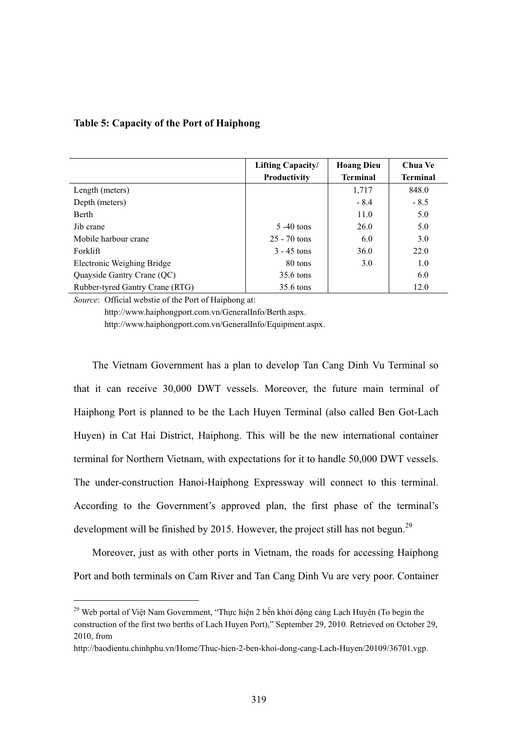|                                 | <b>Lifting Capacity/</b> | <b>Hoang Dieu</b> | Chua Ve         |
|---------------------------------|--------------------------|-------------------|-----------------|
|                                 | Productivity             | <b>Terminal</b>   | <b>Terminal</b> |
| Length (meters)                 |                          | 1,717             | 848.0           |
| Depth (meters)                  |                          | $-8.4$            | $-8.5$          |
| Berth                           |                          | 11.0              | 5.0             |
| Jib crane                       | $5 - 40$ tons            | 26.0              | 5.0             |
| Mobile harbour crane            | $25 - 70$ tons           | 6.0               | 3.0             |
| Forklift                        | $3 - 45$ tons            | 36.0              | 22.0            |
| Electronic Weighing Bridge      | 80 tons                  | 3.0               | 1.0             |
| Quayside Gantry Crane (QC)      | 35.6 tons                |                   | 6.0             |
| Rubber-tyred Gantry Crane (RTG) | 35.6 tons                |                   | 12.0            |

*Source*: Official webstie of the Port of Haiphong at:

 $\overline{a}$ 

 http://www.haiphongport.com.vn/GeneralInfo/Berth.aspx. http://www.haiphongport.com.vn/GeneralInfo/Equipment.aspx.

The Vietnam Government has a plan to develop Tan Cang Dinh Vu Terminal so that it can receive 30,000 DWT vessels. Moreover, the future main terminal of Haiphong Port is planned to be the Lach Huyen Terminal (also called Ben Got-Lach Huyen) in Cat Hai District, Haiphong. This will be the new international container terminal for Northern Vietnam, with expectations for it to handle 50,000 DWT vessels. The under-construction Hanoi-Haiphong Expressway will connect to this terminal. According to the Government's approved plan, the first phase of the terminal's development will be finished by 2015. However, the project still has not begun.<sup>29</sup>

Moreover, just as with other ports in Vietnam, the roads for accessing Haiphong Port and both terminals on Cam River and Tan Cang Dinh Vu are very poor. Container

<sup>&</sup>lt;sup>29</sup> Web portal of Việt Nam Government, "Thực hiện 2 bến khởi động cảng Lạch Huyện (To begin the construction of the first two berths of Lach Huyen Port)," September 29, 2010. Retrieved on October 29, 2010, from

http://baodientu.chinhphu.vn/Home/Thuc-hien-2-ben-khoi-dong-cang-Lach-Huyen/20109/36701.vgp.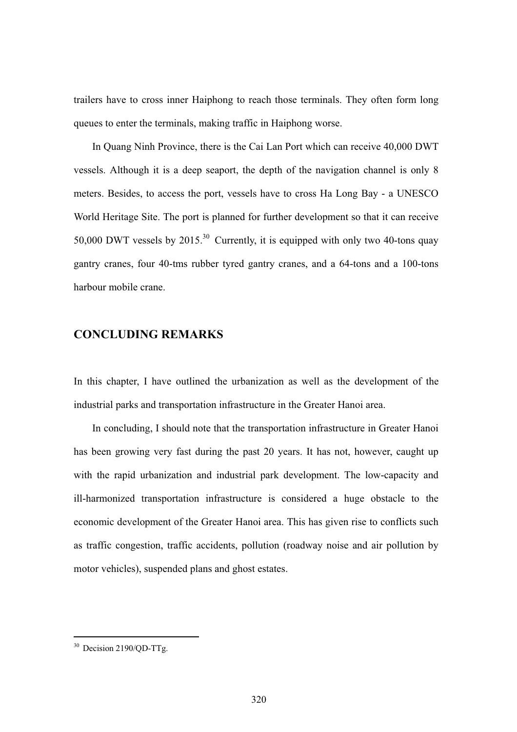trailers have to cross inner Haiphong to reach those terminals. They often form long queues to enter the terminals, making traffic in Haiphong worse.

In Quang Ninh Province, there is the Cai Lan Port which can receive 40,000 DWT vessels. Although it is a deep seaport, the depth of the navigation channel is only 8 meters. Besides, to access the port, vessels have to cross Ha Long Bay - a UNESCO World Heritage Site. The port is planned for further development so that it can receive 50,000 DWT vessels by  $2015<sup>30</sup>$  Currently, it is equipped with only two 40-tons quay gantry cranes, four 40-tms rubber tyred gantry cranes, and a 64-tons and a 100-tons harbour mobile crane.

### **CONCLUDING REMARKS**

In this chapter, I have outlined the urbanization as well as the development of the industrial parks and transportation infrastructure in the Greater Hanoi area.

In concluding, I should note that the transportation infrastructure in Greater Hanoi has been growing very fast during the past 20 years. It has not, however, caught up with the rapid urbanization and industrial park development. The low-capacity and ill-harmonized transportation infrastructure is considered a huge obstacle to the economic development of the Greater Hanoi area. This has given rise to conflicts such as traffic congestion, traffic accidents, pollution (roadway noise and air pollution by motor vehicles), suspended plans and ghost estates.

<sup>&</sup>lt;sup>30</sup> Decision 2190/QD-TTg.